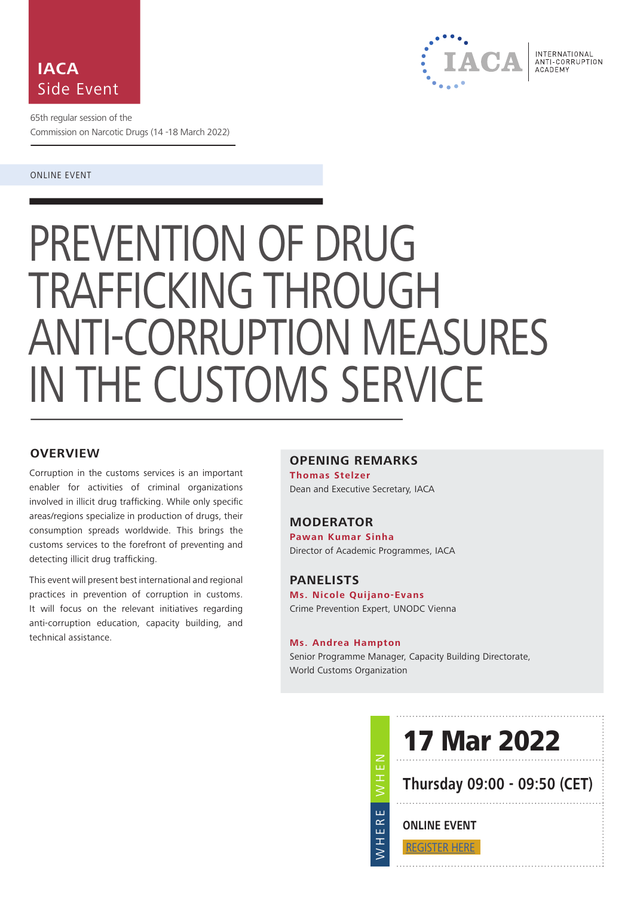



65th regular session of the Commission on Narcotic Drugs (14 -18 March 2022)

#### ONLINE EVENT

# PREVENTION OF DRUG TRAFFICKING THROUGH ANTI-CORRUPTION MEASURES IN THE CUSTOMS SERVICE

# **OVERVIEW**

Corruption in the customs services is an important enabler for activities of criminal organizations involved in illicit drug trafficking. While only specific areas/regions specialize in production of drugs, their consumption spreads worldwide. This brings the customs services to the forefront of preventing and detecting illicit drug trafficking.

This event will present best international and regional practices in prevention of corruption in customs. It will focus on the relevant initiatives regarding anti-corruption education, capacity building, and technical assistance.

## **OPENING REMARKS**

**Thomas Stelzer** Dean and Executive Secretary, IACA

## **MODERATOR**

**Pawan Kumar Sinha** Director of Academic Programmes, IACA

#### **PANELISTS**

**Ms. Nicole Quijano-Evans** Crime Prevention Expert, UNODC Vienna

WHEN

WHERE

Ш ERI H  $\leq$ 

#### **Ms. Andrea Hampton**

Senior Programme Manager, Capacity Building Directorate, World Customs Organization